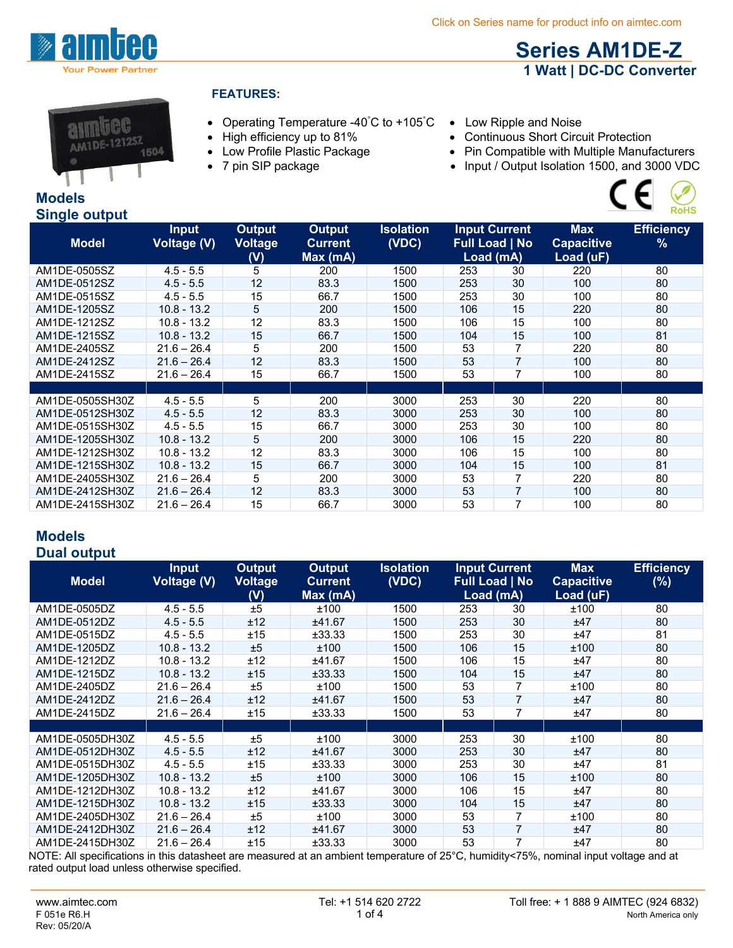

# **Series AM1DE-Z 1 Watt | DC-DC Converter**



## **FEATURES:**

- Operating Temperature -40° C to +105°
- 
- 
- 
- Low Ripple and Noise
- High efficiency up to 81% Continuous Short Circuit Protection<br>• Low Profile Plastic Package Pin Compatible with Multiple Manufa
	-
- Low Profile Plastic Package Pin Compatible with Multiple Manufacturers<br>• 7 pin SIP package Input / Output Isolation 1500, and 3000 VDC • Input / Output Isolation 1500, and 3000 VDC



| <b>Single output</b> |                                    |                                        |                                            |                           |                                                            |    |                                              | <b>RoHS</b>                        |
|----------------------|------------------------------------|----------------------------------------|--------------------------------------------|---------------------------|------------------------------------------------------------|----|----------------------------------------------|------------------------------------|
| <b>Model</b>         | <b>Input</b><br><b>Voltage (V)</b> | <b>Output</b><br><b>Voltage</b><br>(V) | <b>Output</b><br><b>Current</b><br>Max(mA) | <b>Isolation</b><br>(VDC) | <b>Input Current</b><br><b>Full Load   No</b><br>Load (mA) |    | <b>Max</b><br><b>Capacitive</b><br>Load (uF) | <b>Efficiency</b><br>$\frac{9}{6}$ |
| AM1DE-0505SZ         | $4.5 - 5.5$                        | 5                                      | 200                                        | 1500                      | 253                                                        | 30 | 220                                          | 80                                 |
| AM1DE-0512SZ         | $4.5 - 5.5$                        | 12                                     | 83.3                                       | 1500                      | 253                                                        | 30 | 100                                          | 80                                 |
| AM1DE-0515SZ         | $4.5 - 5.5$                        | 15                                     | 66.7                                       | 1500                      | 253                                                        | 30 | 100                                          | 80                                 |
| AM1DE-1205SZ         | $10.8 - 13.2$                      | 5                                      | 200                                        | 1500                      | 106                                                        | 15 | 220                                          | 80                                 |
| AM1DE-1212SZ         | $10.8 - 13.2$                      | 12                                     | 83.3                                       | 1500                      | 106                                                        | 15 | 100                                          | 80                                 |
| AM1DE-1215SZ         | $10.8 - 13.2$                      | 15                                     | 66.7                                       | 1500                      | 104                                                        | 15 | 100                                          | 81                                 |
| AM1DE-2405SZ         | $21.6 - 26.4$                      | 5                                      | 200                                        | 1500                      | 53                                                         | 7  | 220                                          | 80                                 |
| AM1DE-2412SZ         | $21.6 - 26.4$                      | 12                                     | 83.3                                       | 1500                      | 53                                                         | 7  | 100                                          | 80                                 |
| AM1DE-2415SZ         | $21.6 - 26.4$                      | 15                                     | 66.7                                       | 1500                      | 53                                                         | 7  | 100                                          | 80                                 |
|                      |                                    |                                        |                                            |                           |                                                            |    |                                              |                                    |
| AM1DE-0505SH30Z      | $4.5 - 5.5$                        | 5                                      | 200                                        | 3000                      | 253                                                        | 30 | 220                                          | 80                                 |
| AM1DE-0512SH30Z      | $4.5 - 5.5$                        | 12                                     | 83.3                                       | 3000                      | 253                                                        | 30 | 100                                          | 80                                 |
| AM1DE-0515SH30Z      | $4.5 - 5.5$                        | 15                                     | 66.7                                       | 3000                      | 253                                                        | 30 | 100                                          | 80                                 |
| AM1DE-1205SH30Z      | $10.8 - 13.2$                      | 5                                      | 200                                        | 3000                      | 106                                                        | 15 | 220                                          | 80                                 |
| AM1DE-1212SH30Z      | $10.8 - 13.2$                      | 12                                     | 83.3                                       | 3000                      | 106                                                        | 15 | 100                                          | 80                                 |
| AM1DE-1215SH30Z      | $10.8 - 13.2$                      | 15                                     | 66.7                                       | 3000                      | 104                                                        | 15 | 100                                          | 81                                 |
| AM1DE-2405SH30Z      | $21.6 - 26.4$                      | 5                                      | 200                                        | 3000                      | 53                                                         | 7  | 220                                          | 80                                 |
| AM1DE-2412SH30Z      | $21.6 - 26.4$                      | 12                                     | 83.3                                       | 3000                      | 53                                                         | 7  | 100                                          | 80                                 |
| AM1DE-2415SH30Z      | $21.6 - 26.4$                      | 15                                     | 66.7                                       | 3000                      | 53                                                         | 7  | 100                                          | 80                                 |

#### **Models Dual output**

| Puur vurpur                                                                                                                         |                                    |                                        |                                            |                           |                                                            |                |                                              |                             |
|-------------------------------------------------------------------------------------------------------------------------------------|------------------------------------|----------------------------------------|--------------------------------------------|---------------------------|------------------------------------------------------------|----------------|----------------------------------------------|-----------------------------|
| <b>Model</b>                                                                                                                        | <b>Input</b><br><b>Voltage (V)</b> | <b>Output</b><br><b>Voltage</b><br>(V) | <b>Output</b><br><b>Current</b><br>Max(mA) | <b>Isolation</b><br>(VDC) | <b>Input Current</b><br><b>Full Load   No</b><br>Load (mA) |                | <b>Max</b><br><b>Capacitive</b><br>Load (uF) | <b>Efficiency</b><br>$(\%)$ |
| AM1DE-0505DZ                                                                                                                        | $4.5 - 5.5$                        | ±5                                     | ±100                                       | 1500                      | 253                                                        | 30             | ±100                                         | 80                          |
| AM1DE-0512DZ                                                                                                                        | $4.5 - 5.5$                        | ±12                                    | ±41.67                                     | 1500                      | 253                                                        | 30             | ±47                                          | 80                          |
| AM1DE-0515DZ                                                                                                                        | $4.5 - 5.5$                        | ±15                                    | ±33.33                                     | 1500                      | 253                                                        | 30             | ±47                                          | 81                          |
| AM1DE-1205DZ                                                                                                                        | $10.8 - 13.2$                      | ±5                                     | ±100                                       | 1500                      | 106                                                        | 15             | ±100                                         | 80                          |
| AM1DE-1212DZ                                                                                                                        | $10.8 - 13.2$                      | ±12                                    | ±41.67                                     | 1500                      | 106                                                        | 15             | ±47                                          | 80                          |
| AM1DE-1215DZ                                                                                                                        | $10.8 - 13.2$                      | ±15                                    | ±33.33                                     | 1500                      | 104                                                        | 15             | ±47                                          | 80                          |
| AM1DE-2405DZ                                                                                                                        | $21.6 - 26.4$                      | ±5                                     | ±100                                       | 1500                      | 53                                                         | 7              | ±100                                         | 80                          |
| AM1DE-2412DZ                                                                                                                        | $21.6 - 26.4$                      | ±12                                    | ±41.67                                     | 1500                      | 53                                                         | 7              | ±47                                          | 80                          |
| AM1DE-2415DZ                                                                                                                        | $21.6 - 26.4$                      | ±15                                    | ±33.33                                     | 1500                      | 53                                                         | 7              | ±47                                          | 80                          |
|                                                                                                                                     |                                    |                                        |                                            |                           |                                                            |                |                                              |                             |
| AM1DE-0505DH30Z                                                                                                                     | $4.5 - 5.5$                        | ±5                                     | ±100                                       | 3000                      | 253                                                        | 30             | ±100                                         | 80                          |
| AM1DE-0512DH30Z                                                                                                                     | $4.5 - 5.5$                        | ±12                                    | ±41.67                                     | 3000                      | 253                                                        | 30             | ±47                                          | 80                          |
| AM1DE-0515DH30Z                                                                                                                     | $4.5 - 5.5$                        | ±15                                    | ±33.33                                     | 3000                      | 253                                                        | 30             | ±47                                          | 81                          |
| AM1DE-1205DH30Z                                                                                                                     | $10.8 - 13.2$                      | ±5                                     | ±100                                       | 3000                      | 106                                                        | 15             | ±100                                         | 80                          |
| AM1DE-1212DH30Z                                                                                                                     | $10.8 - 13.2$                      | ±12                                    | ±41.67                                     | 3000                      | 106                                                        | 15             | ±47                                          | 80                          |
| AM1DE-1215DH30Z                                                                                                                     | $10.8 - 13.2$                      | ±15                                    | ±33.33                                     | 3000                      | 104                                                        | 15             | ±47                                          | 80                          |
| AM1DE-2405DH30Z                                                                                                                     | $21.6 - 26.4$                      | ±5                                     | ±100                                       | 3000                      | 53                                                         | $\overline{7}$ | ±100                                         | 80                          |
| AM1DE-2412DH30Z                                                                                                                     | $21.6 - 26.4$                      | ±12                                    | ±41.67                                     | 3000                      | 53                                                         | 7              | ±47                                          | 80                          |
| AM1DE-2415DH30Z                                                                                                                     | $21.6 - 26.4$                      | ±15                                    | ±33.33                                     | 3000                      | 53                                                         |                | ±47                                          | 80                          |
| $MATE: All capacities in this database are measured at an ambient temperature of 25°C (humidity/75\%) nominal input voltage and at$ |                                    |                                        |                                            |                           |                                                            |                |                                              |                             |

NOTE: All specifications in this datasheet are measured at an ambient temperature of 25°C, humidity<75%, nominal input voltage and at rated output load unless otherwise specified.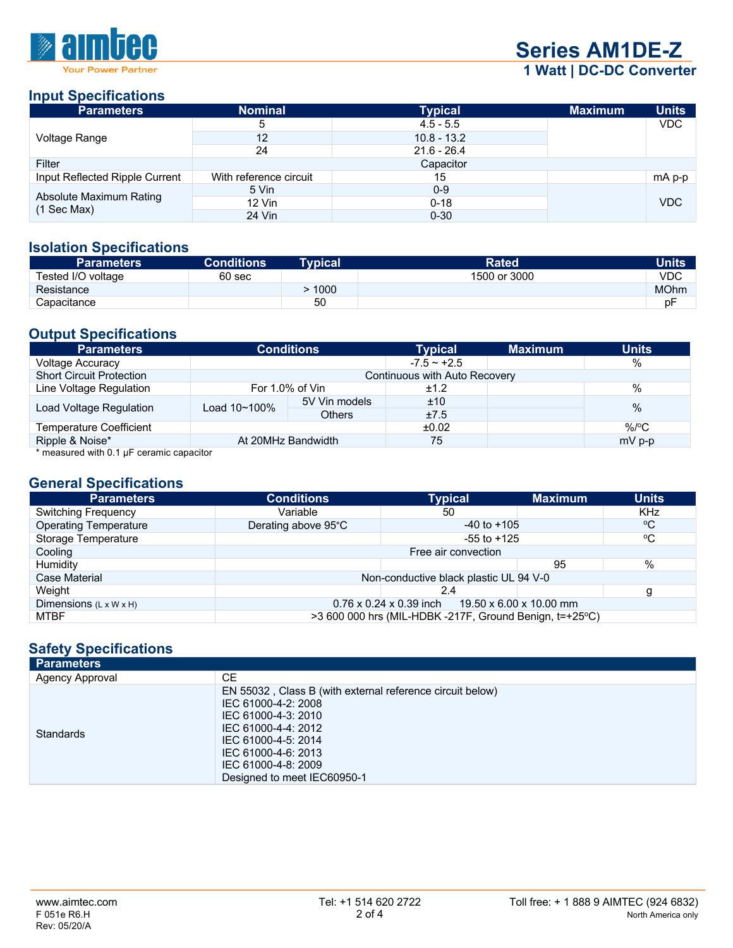

**Series AM1DE-Z 1 Watt | DC-DC Converter**

#### **Input Specifications**

| <b>Parameters</b>              | <b>Nominal</b>         | <b>Typical</b> | <b>Maximum</b> | <b>Units</b> |
|--------------------------------|------------------------|----------------|----------------|--------------|
|                                | b                      | $4.5 - 5.5$    |                | VDC          |
| Voltage Range                  | 12                     | $10.8 - 13.2$  |                |              |
|                                | 24                     | $21.6 - 26.4$  |                |              |
| Filter                         |                        | Capacitor      |                |              |
| Input Reflected Ripple Current | With reference circuit | 15             |                | mA p-p       |
| Absolute Maximum Rating        | 5 Vin                  | $0 - 9$        |                |              |
| $(1$ Sec Max)                  | 12 Vin                 | $0 - 18$       |                | <b>VDC</b>   |
|                                | 24 Vin                 | $0 - 30$       |                |              |

#### **Isolation Specifications**

| <b>Parameters</b>  | <b>Conditions</b> | <b>Typical</b> | <b>Rated</b> | <b>Units</b> |
|--------------------|-------------------|----------------|--------------|--------------|
| Tested I/O voltage | 60 sec            |                | 1500 or 3000 | VDC          |
| Resistance         |                   | 1000           |              | <b>MOhm</b>  |
| Capacitance        |                   | 50             |              | рF           |

### **Output Specifications**

| <b>Parameters</b>                                                             | <b>Conditions</b>             |               | <b>Typical</b> | <b>Maximum</b> | <b>Units</b> |
|-------------------------------------------------------------------------------|-------------------------------|---------------|----------------|----------------|--------------|
| <b>Voltage Accuracy</b>                                                       |                               |               | $-7.5 - +2.5$  |                | %            |
| <b>Short Circuit Protection</b>                                               | Continuous with Auto Recovery |               |                |                |              |
| Line Voltage Regulation                                                       | For 1.0% of Vin               |               | ±1.2           |                | $\%$         |
|                                                                               | Load 10~100%<br><b>Others</b> | 5V Vin models | ±10            |                | $\%$         |
| Load Voltage Regulation                                                       |                               |               | ±7.5           |                |              |
| <b>Temperature Coefficient</b>                                                |                               |               | ±0.02          |                | $\%$ /°C     |
| Ripple & Noise*                                                               | At 20MHz Bandwidth            |               | 75             |                | $mV$ p-p     |
| $\frac{1}{2}$ . The contract of $\frac{1}{2}$ . The contract of $\frac{1}{2}$ |                               |               |                |                |              |

\* measured with 0.1 μF ceramic capacitor

## **General Specifications**

| <b>Parameters</b>                  | <b>Conditions</b>                                       | <b>Typical</b>                                              | <b>Maximum</b> | <b>Units</b> |
|------------------------------------|---------------------------------------------------------|-------------------------------------------------------------|----------------|--------------|
| <b>Switching Frequency</b>         | Variable                                                | 50                                                          |                | KHz          |
| <b>Operating Temperature</b>       | Derating above 95°C                                     | $-40$ to $+105$                                             |                | °C           |
| Storage Temperature                |                                                         | $-55$ to $+125$                                             |                | $\rm ^{o}C$  |
| Cooling                            | Free air convection                                     |                                                             |                |              |
| Humidity                           |                                                         |                                                             | 95             | %            |
| Case Material                      | Non-conductive black plastic UL 94 V-0                  |                                                             |                |              |
| Weight                             |                                                         | 2.4                                                         |                |              |
| Dimensions $(L \times W \times H)$ |                                                         | $0.76 \times 0.24 \times 0.39$ inch 19.50 x 6.00 x 10.00 mm |                |              |
| <b>MTBF</b>                        | >3 600 000 hrs (MIL-HDBK -217F, Ground Benign, t=+25°C) |                                                             |                |              |

## **Safety Specifications**

| <b>Parameters</b> |                                                                                                                                                                                                                                    |
|-------------------|------------------------------------------------------------------------------------------------------------------------------------------------------------------------------------------------------------------------------------|
| Agency Approval   | CE.                                                                                                                                                                                                                                |
| <b>Standards</b>  | EN 55032, Class B (with external reference circuit below)<br>IEC 61000-4-2: 2008<br>IEC 61000-4-3: 2010<br>IEC 61000-4-4: 2012<br>IEC 61000-4-5: 2014<br>IEC 61000-4-6: 2013<br>IEC 61000-4-8: 2009<br>Designed to meet IEC60950-1 |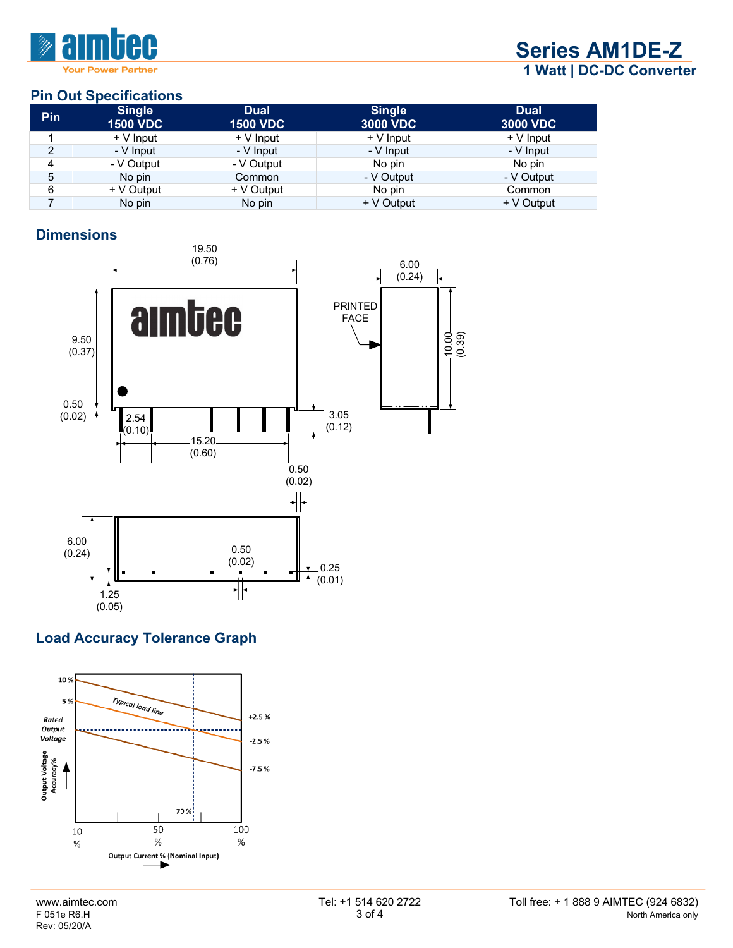

**Series AM1DE-Z 1 Watt | DC-DC Converter**

## **Pin Out Specifications**

| Pin | <b>Single</b><br><b>1500 VDC</b> | <b>Dual</b><br><b>1500 VDC</b> | <b>Single</b><br><b>3000 VDC</b> | <b>Dual</b><br><b>3000 VDC</b> |
|-----|----------------------------------|--------------------------------|----------------------------------|--------------------------------|
|     | + V Input                        | $+V$ Input                     | $+V$ Input                       | $+V$ Input                     |
| 2   | - V Input                        | - V Input                      | - V Input                        | - V Input                      |
| 4   | - V Output                       | - V Output                     | No pin                           | No pin                         |
| 5   | No pin                           | Common                         | - V Output                       | - V Output                     |
| 6   | + V Output                       | + V Output                     | No pin                           | Common                         |
|     | No pin                           | No pin                         | + V Output                       | + V Output                     |

## **Dimensions**



# **Load Accuracy Tolerance Graph**